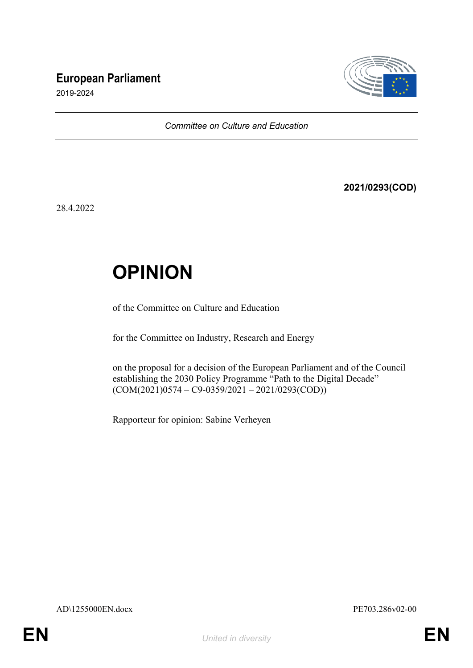# **European Parliament**



2019-2024

*Committee on Culture and Education*

**2021/0293(COD)**

28.4.2022

# **OPINION**

of the Committee on Culture and Education

for the Committee on Industry, Research and Energy

on the proposal for a decision of the European Parliament and of the Council establishing the 2030 Policy Programme "Path to the Digital Decade"  $(COM(2021)0574 - C9 - 0359/2021 - 2021/0293(COD))$ 

Rapporteur for opinion: Sabine Verheyen

AD\1255000EN.docx PE703.286v02-00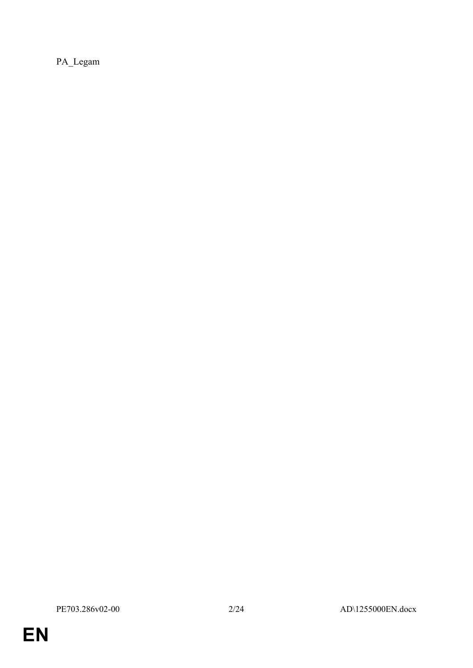PA\_Legam

**EN**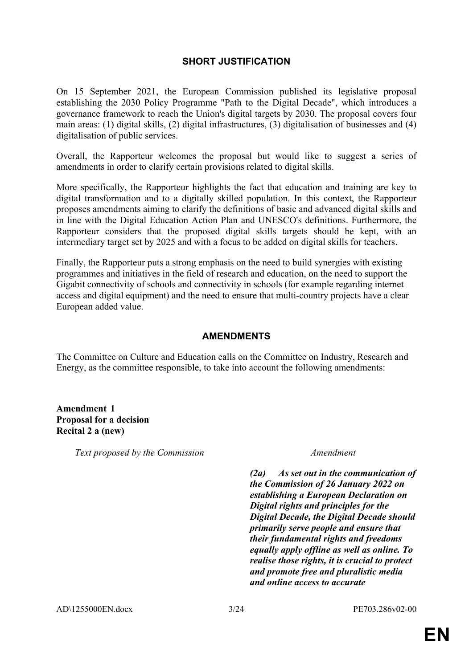# **SHORT JUSTIFICATION**

On 15 September 2021, the European Commission published its legislative proposal establishing the 2030 Policy Programme "Path to the Digital Decade", which introduces a governance framework to reach the Union's digital targets by 2030. The proposal covers four main areas: (1) digital skills, (2) digital infrastructures, (3) digitalisation of businesses and (4) digitalisation of public services.

Overall, the Rapporteur welcomes the proposal but would like to suggest a series of amendments in order to clarify certain provisions related to digital skills.

More specifically, the Rapporteur highlights the fact that education and training are key to digital transformation and to a digitally skilled population. In this context, the Rapporteur proposes amendments aiming to clarify the definitions of basic and advanced digital skills and in line with the Digital Education Action Plan and UNESCO's definitions. Furthermore, the Rapporteur considers that the proposed digital skills targets should be kept, with an intermediary target set by 2025 and with a focus to be added on digital skills for teachers.

Finally, the Rapporteur puts a strong emphasis on the need to build synergies with existing programmes and initiatives in the field of research and education, on the need to support the Gigabit connectivity of schools and connectivity in schools (for example regarding internet access and digital equipment) and the need to ensure that multi-country projects have a clear European added value.

# **AMENDMENTS**

The Committee on Culture and Education calls on the Committee on Industry, Research and Energy, as the committee responsible, to take into account the following amendments:

**Amendment 1 Proposal for a decision Recital 2 a (new)**

*Text proposed by the Commission Amendment*

*(2a) As set out in the communication of the Commission of 26 January 2022 on establishing a European Declaration on Digital rights and principles for the Digital Decade, the Digital Decade should primarily serve people and ensure that their fundamental rights and freedoms equally apply offline as well as online. To realise those rights, it is crucial to protect and promote free and pluralistic media and online access to accurate*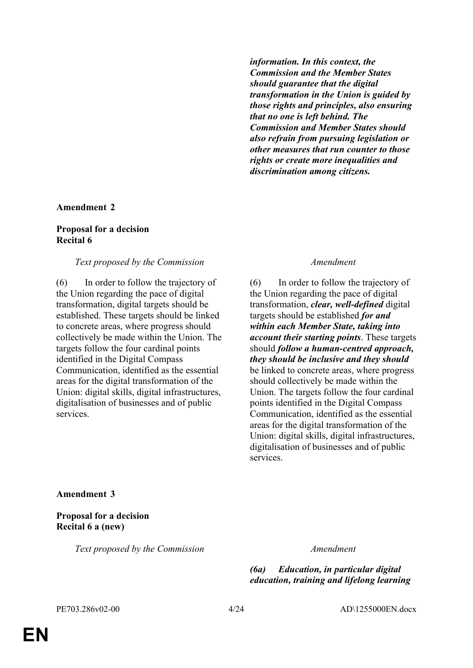*information. In this context, the Commission and the Member States should guarantee that the digital transformation in the Union is guided by those rights and principles, also ensuring that no one is left behind. The Commission and Member States should also refrain from pursuing legislation or other measures that run counter to those rights or create more inequalities and discrimination among citizens.*

### **Amendment 2**

### **Proposal for a decision Recital 6**

### *Text proposed by the Commission Amendment*

(6) In order to follow the trajectory of the Union regarding the pace of digital transformation, digital targets should be established. These targets should be linked to concrete areas, where progress should collectively be made within the Union. The targets follow the four cardinal points identified in the Digital Compass Communication, identified as the essential areas for the digital transformation of the Union: digital skills, digital infrastructures, digitalisation of businesses and of public services.

(6) In order to follow the trajectory of the Union regarding the pace of digital transformation, *clear, well-defined* digital targets should be established *for and within each Member State, taking into account their starting points*. These targets should *follow a human-centred approach, they should be inclusive and they should* be linked to concrete areas, where progress should collectively be made within the Union. The targets follow the four cardinal points identified in the Digital Compass Communication, identified as the essential areas for the digital transformation of the Union: digital skills, digital infrastructures, digitalisation of businesses and of public services.

### **Amendment 3**

**Proposal for a decision Recital 6 a (new)**

*Text proposed by the Commission Amendment*

*(6a) Education, in particular digital education, training and lifelong learning*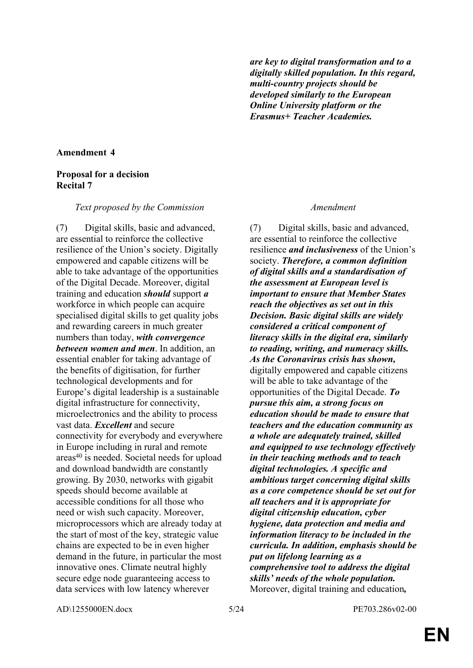*are key to digital transformation and to a digitally skilled population. In this regard, multi-country projects should be developed similarly to the European Online University platform or the Erasmus+ Teacher Academies.*

# **Amendment 4**

### **Proposal for a decision Recital 7**

### *Text proposed by the Commission Amendment*

(7) Digital skills, basic and advanced, are essential to reinforce the collective resilience of the Union's society. Digitally empowered and capable citizens will be able to take advantage of the opportunities of the Digital Decade. Moreover, digital training and education *should* support *a* workforce in which people can acquire specialised digital skills to get quality jobs and rewarding careers in much greater numbers than today, *with convergence between women and men*. In addition, an essential enabler for taking advantage of the benefits of digitisation, for further technological developments and for Europe's digital leadership is a sustainable digital infrastructure for connectivity, microelectronics and the ability to process vast data. *Excellent* and secure connectivity for everybody and everywhere in Europe including in rural and remote areas<sup>40</sup> is needed. Societal needs for upload and download bandwidth are constantly growing. By 2030, networks with gigabit speeds should become available at accessible conditions for all those who need or wish such capacity. Moreover, microprocessors which are already today at the start of most of the key, strategic value chains are expected to be in even higher demand in the future, in particular the most innovative ones. Climate neutral highly secure edge node guaranteeing access to data services with low latency wherever

(7) Digital skills, basic and advanced, are essential to reinforce the collective resilience *and inclusiveness* of the Union's society. *Therefore, a common definition of digital skills and a standardisation of the assessment at European level is important to ensure that Member States reach the objectives as set out in this Decision. Basic digital skills are widely considered a critical component of literacy skills in the digital era, similarly to reading, writing, and numeracy skills. As the Coronavirus crisis has shown,* digitally empowered and capable citizens will be able to take advantage of the opportunities of the Digital Decade. *To pursue this aim, a strong focus on education should be made to ensure that teachers and the education community as a whole are adequately trained, skilled and equipped to use technology effectively in their teaching methods and to teach digital technologies. A specific and ambitious target concerning digital skills as a core competence should be set out for all teachers and it is appropriate for digital citizenship education, cyber hygiene, data protection and media and information literacy to be included in the curricula. In addition, emphasis should be put on lifelong learning as a comprehensive tool to address the digital skills' needs of the whole population.* Moreover, digital training and education*,* 

AD\1255000EN.docx 5/24 PE703.286v02-00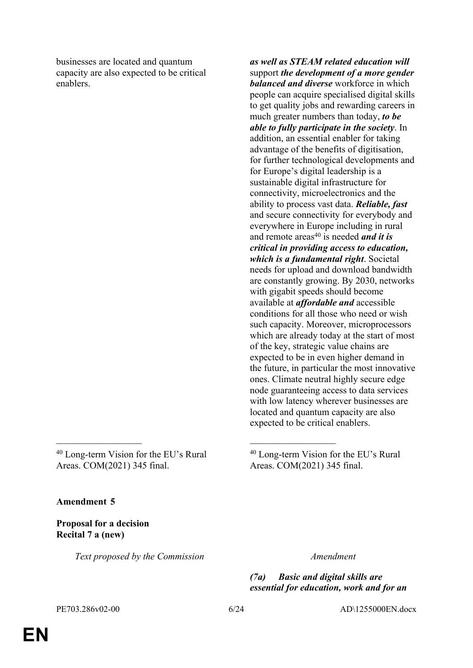businesses are located and quantum capacity are also expected to be critical enablers.

<sup>40</sup> Long-term Vision for the EU's Rural Areas. COM(2021) 345 final.

 $\mathcal{L}_\text{max}$  and  $\mathcal{L}_\text{max}$  and  $\mathcal{L}_\text{max}$  and  $\mathcal{L}_\text{max}$ 

*as well as STEAM related education will* support *the development of a more gender balanced and diverse* workforce in which people can acquire specialised digital skills to get quality jobs and rewarding careers in much greater numbers than today, *to be able to fully participate in the society*. In addition, an essential enabler for taking advantage of the benefits of digitisation, for further technological developments and for Europe's digital leadership is a sustainable digital infrastructure for connectivity, microelectronics and the ability to process vast data. *Reliable, fast* and secure connectivity for everybody and everywhere in Europe including in rural and remote areas<sup>40</sup> is needed *and it is critical in providing access to education, which is a fundamental right*. Societal needs for upload and download bandwidth are constantly growing. By 2030, networks with gigabit speeds should become available at *affordable and* accessible conditions for all those who need or wish such capacity. Moreover, microprocessors which are already today at the start of most of the key, strategic value chains are expected to be in even higher demand in the future, in particular the most innovative ones. Climate neutral highly secure edge node guaranteeing access to data services with low latency wherever businesses are located and quantum capacity are also expected to be critical enablers.

<sup>40</sup> Long-term Vision for the EU's Rural Areas. COM(2021) 345 final.

**Amendment 5**

**Proposal for a decision Recital 7 a (new)**

*Text proposed by the Commission Amendment*

*(7a) Basic and digital skills are essential for education, work and for an* 

PE703.286v02-00 6/24 AD\1255000EN.docx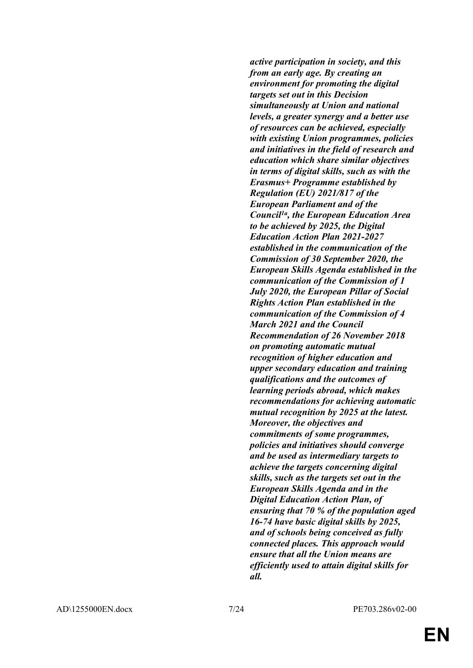*active participation in society, and this from an early age. By creating an environment for promoting the digital targets set out in this Decision simultaneously at Union and national levels, a greater synergy and a better use of resources can be achieved, especially with existing Union programmes, policies and initiatives in the field of research and education which share similar objectives in terms of digital skills, such as with the Erasmus+ Programme established by Regulation (EU) 2021/817 of the European Parliament and of the Council1a, the European Education Area to be achieved by 2025, the Digital Education Action Plan 2021-2027 established in the communication of the Commission of 30 September 2020, the European Skills Agenda established in the communication of the Commission of 1 July 2020, the European Pillar of Social Rights Action Plan established in the communication of the Commission of 4 March 2021 and the Council Recommendation of 26 November 2018 on promoting automatic mutual recognition of higher education and upper secondary education and training qualifications and the outcomes of learning periods abroad, which makes recommendations for achieving automatic mutual recognition by 2025 at the latest. Moreover, the objectives and commitments of some programmes, policies and initiatives should converge and be used as intermediary targets to achieve the targets concerning digital skills, such as the targets set out in the European Skills Agenda and in the Digital Education Action Plan, of ensuring that 70 % of the population aged 16-74 have basic digital skills by 2025, and of schools being conceived as fully connected places. This approach would ensure that all the Union means are efficiently used to attain digital skills for all.*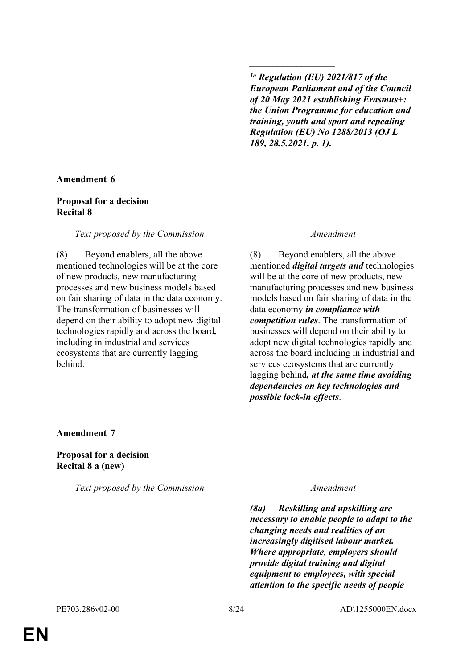*1a Regulation (EU) 2021/817 of the European Parliament and of the Council of 20 May 2021 establishing Erasmus+: the Union Programme for education and training, youth and sport and repealing Regulation (EU) No 1288/2013 (OJ L 189, 28.5.2021, p. 1).*

*\_\_\_\_\_\_\_\_\_\_\_\_\_\_\_\_\_\_*

# **Amendment 6**

# **Proposal for a decision Recital 8**

# *Text proposed by the Commission Amendment*

(8) Beyond enablers, all the above mentioned technologies will be at the core of new products, new manufacturing processes and new business models based on fair sharing of data in the data economy. The transformation of businesses will depend on their ability to adopt new digital technologies rapidly and across the board*,* including in industrial and services ecosystems that are currently lagging behind.

(8) Beyond enablers, all the above mentioned *digital targets and* technologies will be at the core of new products, new manufacturing processes and new business models based on fair sharing of data in the data economy *in compliance with competition rules*. The transformation of businesses will depend on their ability to adopt new digital technologies rapidly and across the board including in industrial and services ecosystems that are currently lagging behind*, at the same time avoiding dependencies on key technologies and possible lock-in effects*.

**Amendment 7**

**Proposal for a decision Recital 8 a (new)**

*Text proposed by the Commission Amendment*

*(8a) Reskilling and upskilling are necessary to enable people to adapt to the changing needs and realities of an increasingly digitised labour market. Where appropriate, employers should provide digital training and digital equipment to employees, with special attention to the specific needs of people*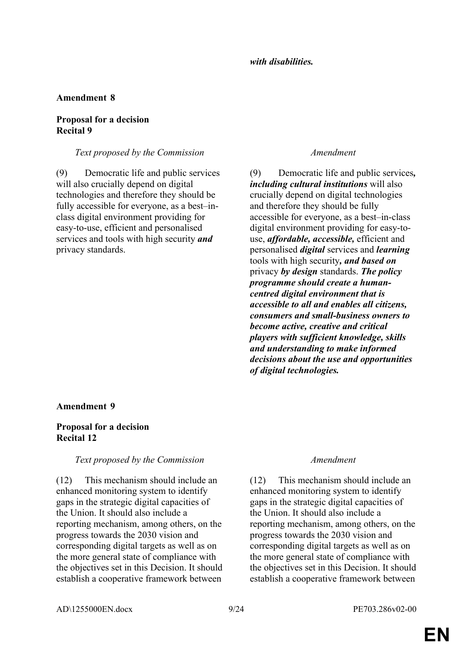# **Amendment 8**

# **Proposal for a decision Recital 9**

# *Text proposed by the Commission Amendment*

(9) Democratic life and public services will also crucially depend on digital technologies and therefore they should be fully accessible for everyone, as a best–inclass digital environment providing for easy-to-use, efficient and personalised services and tools with high security *and* privacy standards.

(9) Democratic life and public services*, including cultural institutions* will also crucially depend on digital technologies and therefore they should be fully accessible for everyone, as a best–in-class digital environment providing for easy-touse, *affordable, accessible,* efficient and personalised *digital* services and *learning* tools with high security*, and based on* privacy *by design* standards. *The policy programme should create a humancentred digital environment that is accessible to all and enables all citizens, consumers and small-business owners to become active, creative and critical players with sufficient knowledge, skills and understanding to make informed decisions about the use and opportunities of digital technologies.*

# **Amendment 9**

# **Proposal for a decision Recital 12**

# *Text proposed by the Commission Amendment*

(12) This mechanism should include an enhanced monitoring system to identify gaps in the strategic digital capacities of the Union. It should also include a reporting mechanism, among others, on the progress towards the 2030 vision and corresponding digital targets as well as on the more general state of compliance with the objectives set in this Decision. It should establish a cooperative framework between

(12) This mechanism should include an enhanced monitoring system to identify gaps in the strategic digital capacities of the Union. It should also include a reporting mechanism, among others, on the progress towards the 2030 vision and corresponding digital targets as well as on the more general state of compliance with the objectives set in this Decision. It should establish a cooperative framework between

AD\1255000EN.docx 9/24 PE703.286v02-00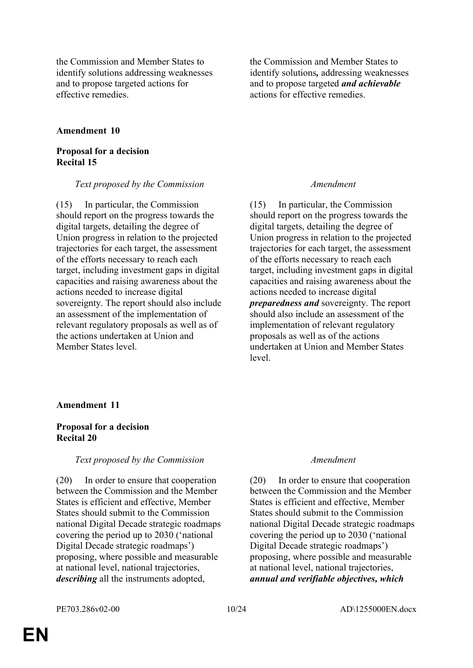the Commission and Member States to identify solutions addressing weaknesses and to propose targeted actions for effective remedies.

# **Amendment 10**

# **Proposal for a decision Recital 15**

### *Text proposed by the Commission Amendment*

(15) In particular, the Commission should report on the progress towards the digital targets, detailing the degree of Union progress in relation to the projected trajectories for each target, the assessment of the efforts necessary to reach each target, including investment gaps in digital capacities and raising awareness about the actions needed to increase digital sovereignty. The report should also include an assessment of the implementation of relevant regulatory proposals as well as of the actions undertaken at Union and Member States level.

the Commission and Member States to identify solutions*,* addressing weaknesses and to propose targeted *and achievable* actions for effective remedies.

(15) In particular, the Commission should report on the progress towards the digital targets, detailing the degree of Union progress in relation to the projected trajectories for each target, the assessment of the efforts necessary to reach each target, including investment gaps in digital capacities and raising awareness about the actions needed to increase digital *preparedness and* sovereignty. The report should also include an assessment of the implementation of relevant regulatory proposals as well as of the actions undertaken at Union and Member States level.

### **Amendment 11**

### **Proposal for a decision Recital 20**

### *Text proposed by the Commission Amendment*

(20) In order to ensure that cooperation between the Commission and the Member States is efficient and effective, Member States should submit to the Commission national Digital Decade strategic roadmaps covering the period up to 2030 ('national Digital Decade strategic roadmaps') proposing, where possible and measurable at national level, national trajectories, *describing* all the instruments adopted,

(20) In order to ensure that cooperation between the Commission and the Member States is efficient and effective, Member States should submit to the Commission national Digital Decade strategic roadmaps covering the period up to 2030 ('national Digital Decade strategic roadmaps') proposing, where possible and measurable at national level, national trajectories, *annual and verifiable objectives, which*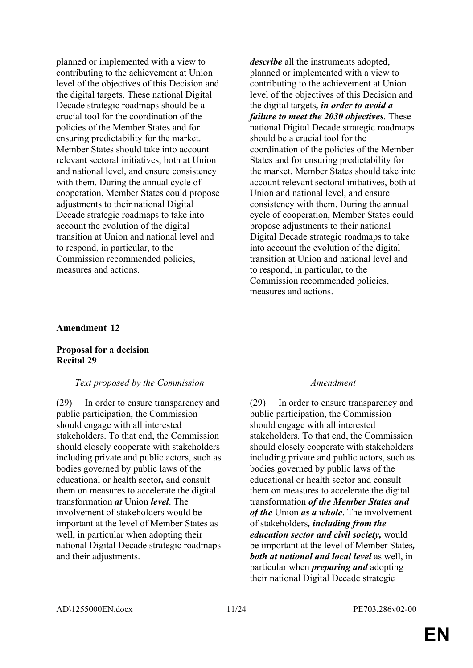planned or implemented with a view to contributing to the achievement at Union level of the objectives of this Decision and the digital targets. These national Digital Decade strategic roadmaps should be a crucial tool for the coordination of the policies of the Member States and for ensuring predictability for the market. Member States should take into account relevant sectoral initiatives, both at Union and national level, and ensure consistency with them. During the annual cycle of cooperation, Member States could propose adjustments to their national Digital Decade strategic roadmaps to take into account the evolution of the digital transition at Union and national level and to respond, in particular, to the Commission recommended policies, measures and actions.

*describe* all the instruments adopted, planned or implemented with a view to contributing to the achievement at Union level of the objectives of this Decision and the digital targets*, in order to avoid a failure to meet the 2030 objectives*. These national Digital Decade strategic roadmaps should be a crucial tool for the coordination of the policies of the Member States and for ensuring predictability for the market. Member States should take into account relevant sectoral initiatives, both at Union and national level, and ensure consistency with them. During the annual cycle of cooperation, Member States could propose adjustments to their national Digital Decade strategic roadmaps to take into account the evolution of the digital transition at Union and national level and to respond, in particular, to the Commission recommended policies, measures and actions.

### **Amendment 12**

### **Proposal for a decision Recital 29**

### *Text proposed by the Commission Amendment*

(29) In order to ensure transparency and public participation, the Commission should engage with all interested stakeholders. To that end, the Commission should closely cooperate with stakeholders including private and public actors, such as bodies governed by public laws of the educational or health sector*,* and consult them on measures to accelerate the digital transformation *at* Union *level*. The involvement of stakeholders would be important at the level of Member States as well, in particular when adopting their national Digital Decade strategic roadmaps and their adjustments.

(29) In order to ensure transparency and public participation, the Commission should engage with all interested stakeholders. To that end, the Commission should closely cooperate with stakeholders including private and public actors, such as bodies governed by public laws of the educational or health sector and consult them on measures to accelerate the digital transformation *of the Member States and of the* Union *as a whole*. The involvement of stakeholders*, including from the education sector and civil society,* would be important at the level of Member States*, both at national and local level* as well, in particular when *preparing and* adopting their national Digital Decade strategic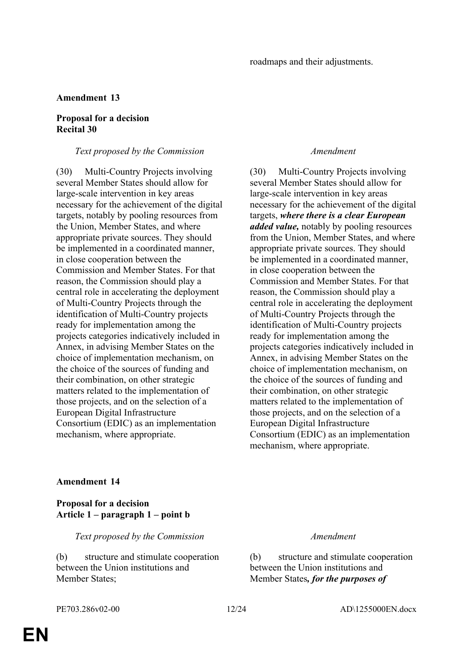# **Amendment 13**

# **Proposal for a decision Recital 30**

### *Text proposed by the Commission Amendment*

(30) Multi-Country Projects involving several Member States should allow for large-scale intervention in key areas necessary for the achievement of the digital targets, notably by pooling resources from the Union, Member States, and where appropriate private sources. They should be implemented in a coordinated manner, in close cooperation between the Commission and Member States. For that reason, the Commission should play a central role in accelerating the deployment of Multi-Country Projects through the identification of Multi-Country projects ready for implementation among the projects categories indicatively included in Annex, in advising Member States on the choice of implementation mechanism, on the choice of the sources of funding and their combination, on other strategic matters related to the implementation of those projects, and on the selection of a European Digital Infrastructure Consortium (EDIC) as an implementation mechanism, where appropriate.

(30) Multi-Country Projects involving several Member States should allow for large-scale intervention in key areas necessary for the achievement of the digital targets, *where there is a clear European added value,* notably by pooling resources from the Union, Member States, and where appropriate private sources. They should be implemented in a coordinated manner, in close cooperation between the Commission and Member States. For that reason, the Commission should play a central role in accelerating the deployment of Multi-Country Projects through the identification of Multi-Country projects ready for implementation among the projects categories indicatively included in Annex, in advising Member States on the choice of implementation mechanism, on the choice of the sources of funding and their combination, on other strategic matters related to the implementation of those projects, and on the selection of a European Digital Infrastructure Consortium (EDIC) as an implementation mechanism, where appropriate.

# **Amendment 14**

# **Proposal for a decision Article 1 – paragraph 1 – point b**

*Text proposed by the Commission Amendment*

(b) structure and stimulate cooperation between the Union institutions and Member States;

(b) structure and stimulate cooperation between the Union institutions and Member States*, for the purposes of*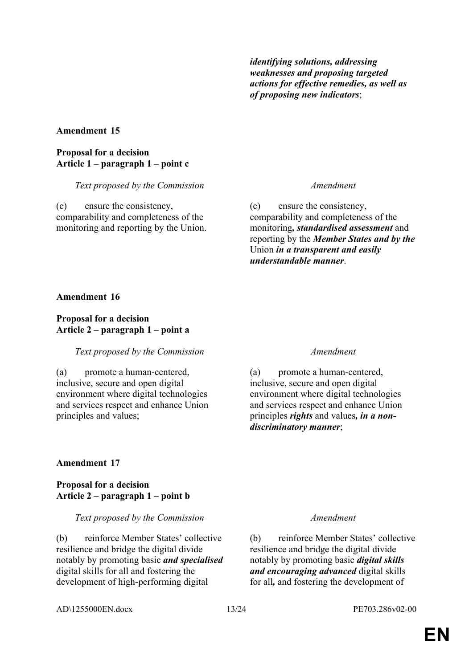*identifying solutions, addressing weaknesses and proposing targeted actions for effective remedies, as well as of proposing new indicators*;

# **Amendment 15**

# **Proposal for a decision Article 1 – paragraph 1 – point c**

*Text proposed by the Commission Amendment*

(c) ensure the consistency, comparability and completeness of the monitoring and reporting by the Union.

(c) ensure the consistency, comparability and completeness of the monitoring*, standardised assessment* and reporting by the *Member States and by the* Union *in a transparent and easily understandable manner*.

# **Amendment 16**

# **Proposal for a decision Article 2 – paragraph 1 – point a**

# *Text proposed by the Commission Amendment*

(a) promote a human-centered, inclusive, secure and open digital environment where digital technologies and services respect and enhance Union principles and values;

(a) promote a human-centered, inclusive, secure and open digital environment where digital technologies and services respect and enhance Union principles *rights* and values*, in a nondiscriminatory manner*;

# **Amendment 17**

# **Proposal for a decision Article 2 – paragraph 1 – point b**

*Text proposed by the Commission Amendment*

(b) reinforce Member States' collective resilience and bridge the digital divide notably by promoting basic *and specialised* digital skills for all and fostering the development of high-performing digital

(b) reinforce Member States' collective resilience and bridge the digital divide notably by promoting basic *digital skills and encouraging advanced* digital skills for all*,* and fostering the development of

AD\1255000EN.docx 13/24 PE703.286v02-00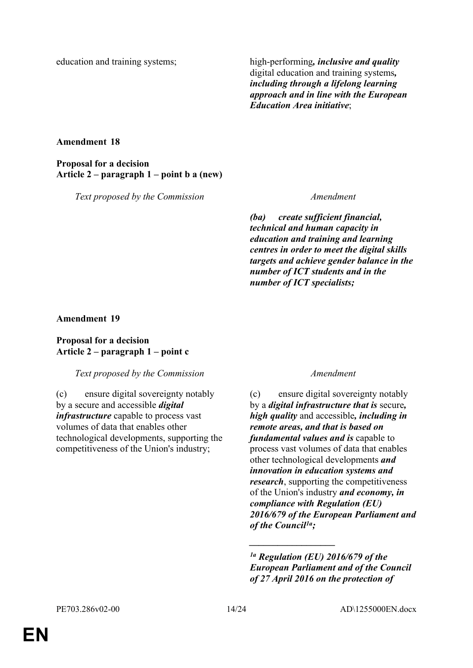education and training systems; high-performing, *inclusive and quality* digital education and training systems*, including through a lifelong learning approach and in line with the European Education Area initiative*;

# **Amendment 18**

**Proposal for a decision Article 2 – paragraph 1 – point b a (new)**

*Text proposed by the Commission Amendment*

*(ba) create sufficient financial, technical and human capacity in education and training and learning centres in order to meet the digital skills targets and achieve gender balance in the number of ICT students and in the number of ICT specialists;*

**Amendment 19**

# **Proposal for a decision Article 2 – paragraph 1 – point c**

# *Text proposed by the Commission Amendment*

(c) ensure digital sovereignty notably by a secure and accessible *digital infrastructure* capable to process vast volumes of data that enables other technological developments, supporting the competitiveness of the Union's industry;

(c) ensure digital sovereignty notably by a *digital infrastructure that is* secure*, high quality* and accessible*, including in remote areas, and that is based on fundamental values and is* capable to process vast volumes of data that enables other technological developments *and innovation in education systems and research*, supporting the competitiveness of the Union's industry *and economy, in compliance with Regulation (EU) 2016/679 of the European Parliament and of the Council1a;*

*\_\_\_\_\_\_\_\_\_\_\_\_\_\_\_\_\_\_*

*<sup>1</sup>a Regulation (EU) 2016/679 of the European Parliament and of the Council of 27 April 2016 on the protection of*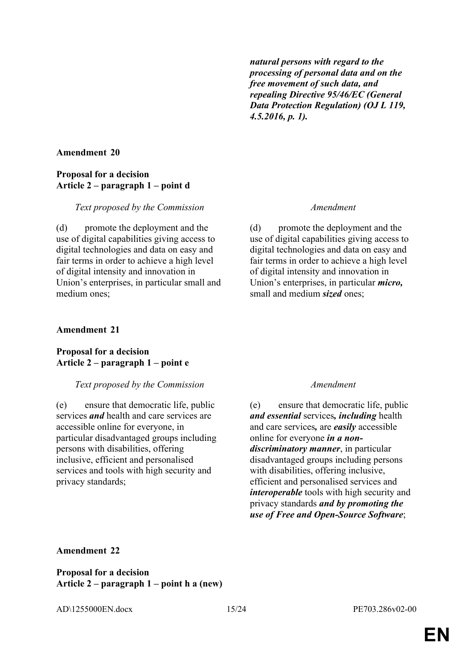*natural persons with regard to the processing of personal data and on the free movement of such data, and repealing Directive 95/46/EC (General Data Protection Regulation) (OJ L 119, 4.5.2016, p. 1).*

# **Amendment 20**

# **Proposal for a decision Article 2 – paragraph 1 – point d**

# *Text proposed by the Commission Amendment*

(d) promote the deployment and the use of digital capabilities giving access to digital technologies and data on easy and fair terms in order to achieve a high level of digital intensity and innovation in Union's enterprises, in particular small and medium ones;

# **Amendment 21**

# **Proposal for a decision Article 2 – paragraph 1 – point e**

# *Text proposed by the Commission Amendment*

(e) ensure that democratic life, public services *and* health and care services are accessible online for everyone, in particular disadvantaged groups including persons with disabilities, offering inclusive, efficient and personalised services and tools with high security and privacy standards;

(d) promote the deployment and the use of digital capabilities giving access to digital technologies and data on easy and fair terms in order to achieve a high level of digital intensity and innovation in Union's enterprises, in particular *micro,* small and medium *sized* ones;

(e) ensure that democratic life, public *and essential* services*, including* health and care services*,* are *easily* accessible online for everyone *in a nondiscriminatory manner*, in particular disadvantaged groups including persons with disabilities, offering inclusive, efficient and personalised services and *interoperable* tools with high security and privacy standards *and by promoting the use of Free and Open-Source Software*;

# **Amendment 22**

**Proposal for a decision Article 2 – paragraph 1 – point h a (new)**

AD\1255000EN.docx 15/24 PE703.286v02-00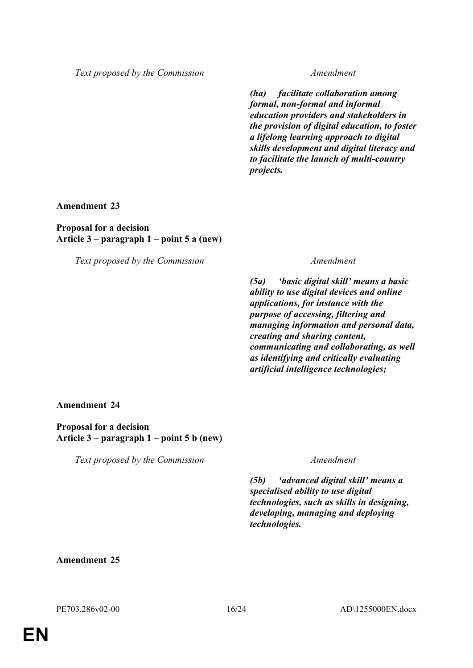*Text proposed by the Commission Amendment*

*(ha) facilitate collaboration among formal, non-formal and informal education providers and stakeholders in the provision of digital education, to foster a lifelong learning approach to digital skills development and digital literacy and to facilitate the launch of multi-country projects.*

**Amendment 23**

**Proposal for a decision Article 3 – paragraph 1 – point 5 a (new)**

*Text proposed by the Commission Amendment*

*(5a) 'basic digital skill' means a basic ability to use digital devices and online applications, for instance with the purpose of accessing, filtering and managing information and personal data, creating and sharing content, communicating and collaborating, as well as identifying and critically evaluating artificial intelligence technologies;*

**Amendment 24**

**Proposal for a decision Article 3 – paragraph 1 – point 5 b (new)**

*Text proposed by the Commission Amendment*

*(5b) 'advanced digital skill' means a specialised ability to use digital technologies, such as skills in designing, developing, managing and deploying technologies.*

# **Amendment 25**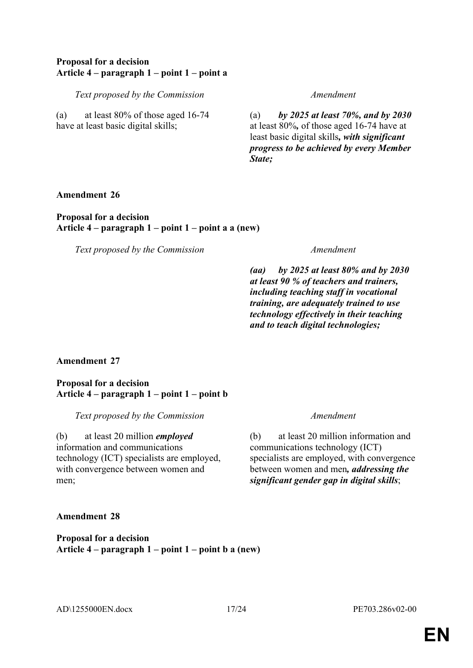# **Proposal for a decision Article 4 – paragraph 1 – point 1 – point a**

*Text proposed by the Commission Amendment*

(a) at least 80% of those aged 16-74 have at least basic digital skills;

(a) *by 2025 at least 70%, and by 2030* at least 80%*,* of those aged 16-74 have at least basic digital skills*, with significant progress to be achieved by every Member State;*

**Amendment 26**

**Proposal for a decision Article 4 – paragraph 1 – point 1 – point a a (new)**

*Text proposed by the Commission Amendment*

*(aa) by 2025 at least 80% and by 2030 at least 90 % of teachers and trainers, including teaching staff in vocational training, are adequately trained to use technology effectively in their teaching and to teach digital technologies;*

# **Amendment 27**

**Proposal for a decision Article 4 – paragraph 1 – point 1 – point b**

*Text proposed by the Commission Amendment*

(b) at least 20 million *employed* information and communications technology (ICT) specialists are employed, with convergence between women and men;

(b) at least 20 million information and communications technology (ICT) specialists are employed, with convergence between women and men*, addressing the significant gender gap in digital skills*;

**Amendment 28**

**Proposal for a decision Article 4 – paragraph 1 – point 1 – point b a (new)**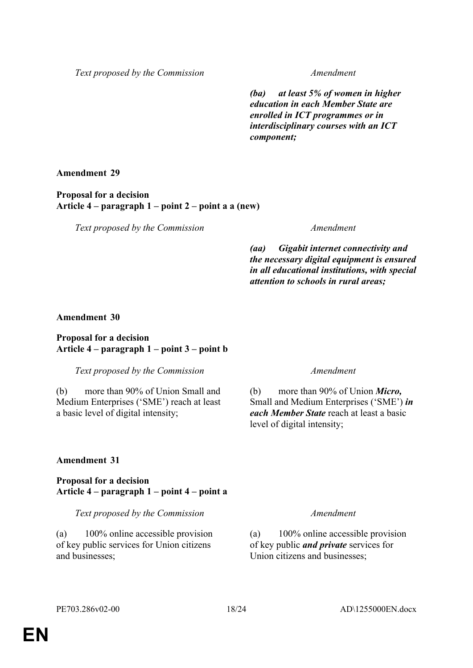*Text proposed by the Commission Amendment*

*(ba) at least 5% of women in higher education in each Member State are enrolled in ICT programmes or in interdisciplinary courses with an ICT component;*

**Amendment 29**

**Proposal for a decision Article 4 – paragraph 1 – point 2 – point a a (new)**

*Text proposed by the Commission Amendment*

*(aa) Gigabit internet connectivity and the necessary digital equipment is ensured in all educational institutions, with special attention to schools in rural areas;*

# **Amendment 30**

# **Proposal for a decision Article 4 – paragraph 1 – point 3 – point b**

*Text proposed by the Commission Amendment*

(b) more than 90% of Union Small and Medium Enterprises ('SME') reach at least a basic level of digital intensity;

(b) more than 90% of Union *Micro,* Small and Medium Enterprises ('SME') *in each Member State* reach at least a basic level of digital intensity;

# **Amendment 31**

**Proposal for a decision Article 4 – paragraph 1 – point 4 – point a**

*Text proposed by the Commission Amendment*

(a) 100% online accessible provision of key public services for Union citizens and businesses;

(a) 100% online accessible provision of key public *and private* services for Union citizens and businesses;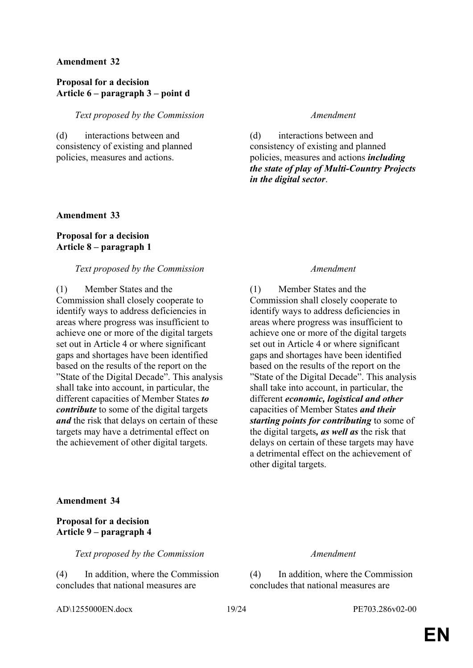### **Amendment 32**

# **Proposal for a decision Article 6 – paragraph 3 – point d**

*Text proposed by the Commission Amendment*

(d) interactions between and consistency of existing and planned policies, measures and actions.

(d) interactions between and consistency of existing and planned policies, measures and actions *including the state of play of Multi-Country Projects in the digital sector*.

# **Amendment 33**

# **Proposal for a decision Article 8 – paragraph 1**

### *Text proposed by the Commission Amendment*

(1) Member States and the Commission shall closely cooperate to identify ways to address deficiencies in areas where progress was insufficient to achieve one or more of the digital targets set out in Article 4 or where significant gaps and shortages have been identified based on the results of the report on the "State of the Digital Decade". This analysis shall take into account, in particular, the different capacities of Member States *to contribute* to some of the digital targets *and* the risk that delays on certain of these targets may have a detrimental effect on the achievement of other digital targets.

(1) Member States and the Commission shall closely cooperate to identify ways to address deficiencies in areas where progress was insufficient to achieve one or more of the digital targets set out in Article 4 or where significant gaps and shortages have been identified based on the results of the report on the "State of the Digital Decade". This analysis shall take into account, in particular, the different *economic, logistical and other* capacities of Member States *and their starting points for contributing* to some of the digital targets*, as well as* the risk that delays on certain of these targets may have a detrimental effect on the achievement of other digital targets.

# **Amendment 34**

# **Proposal for a decision Article 9 – paragraph 4**

*Text proposed by the Commission Amendment*

(4) In addition, where the Commission concludes that national measures are

AD\1255000EN.docx 19/24 PE703.286v02-00

(4) In addition, where the Commission concludes that national measures are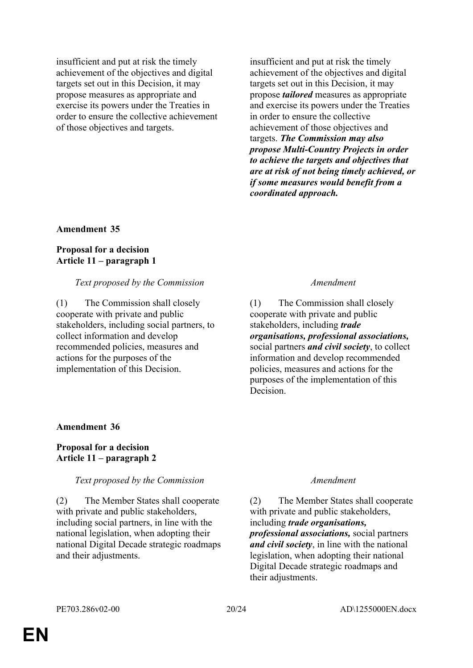insufficient and put at risk the timely achievement of the objectives and digital targets set out in this Decision, it may propose measures as appropriate and exercise its powers under the Treaties in order to ensure the collective achievement of those objectives and targets.

insufficient and put at risk the timely achievement of the objectives and digital targets set out in this Decision, it may propose *tailored* measures as appropriate and exercise its powers under the Treaties in order to ensure the collective achievement of those objectives and targets. *The Commission may also propose Multi-Country Projects in order to achieve the targets and objectives that are at risk of not being timely achieved, or if some measures would benefit from a coordinated approach.*

### **Amendment 35**

# **Proposal for a decision Article 11 – paragraph 1**

### *Text proposed by the Commission Amendment*

(1) The Commission shall closely cooperate with private and public stakeholders, including social partners, to collect information and develop recommended policies, measures and actions for the purposes of the implementation of this Decision.

(1) The Commission shall closely cooperate with private and public stakeholders, including *trade organisations, professional associations,*  social partners *and civil society*, to collect information and develop recommended policies, measures and actions for the purposes of the implementation of this **Decision** 

# **Amendment 36**

# **Proposal for a decision Article 11 – paragraph 2**

# *Text proposed by the Commission Amendment*

(2) The Member States shall cooperate with private and public stakeholders, including social partners, in line with the national legislation, when adopting their national Digital Decade strategic roadmaps and their adjustments.

(2) The Member States shall cooperate with private and public stakeholders, including *trade organisations, professional associations,* social partners *and civil society*, in line with the national legislation, when adopting their national Digital Decade strategic roadmaps and their adjustments.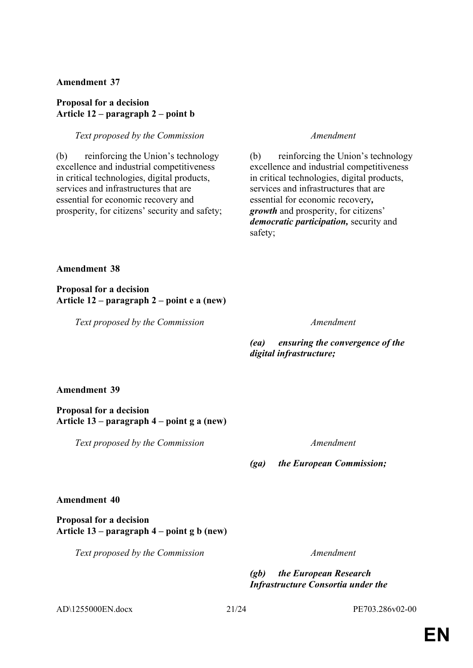# **Amendment 37**

# **Proposal for a decision Article 12 – paragraph 2 – point b**

# *Text proposed by the Commission Amendment*

(b) reinforcing the Union's technology excellence and industrial competitiveness in critical technologies, digital products, services and infrastructures that are essential for economic recovery and prosperity, for citizens' security and safety;

(b) reinforcing the Union's technology excellence and industrial competitiveness in critical technologies, digital products, services and infrastructures that are essential for economic recovery*, growth* and prosperity, for citizens' *democratic participation,* security and safety;

# **Amendment 38**

**Proposal for a decision Article 12 – paragraph 2 – point e a (new)**

*Text proposed by the Commission Amendment*

# *(ea) ensuring the convergence of the digital infrastructure;*

# **Amendment 39**

**Proposal for a decision Article 13 – paragraph 4 – point g a (new)**

*Text proposed by the Commission Amendment*

# *(ga) the European Commission;*

# **Amendment 40**

# **Proposal for a decision Article 13 – paragraph 4 – point g b (new)**

*Text proposed by the Commission Amendment*

*(gb) the European Research Infrastructure Consortia under the* 

AD\1255000EN.docx 21/24 PE703.286v02-00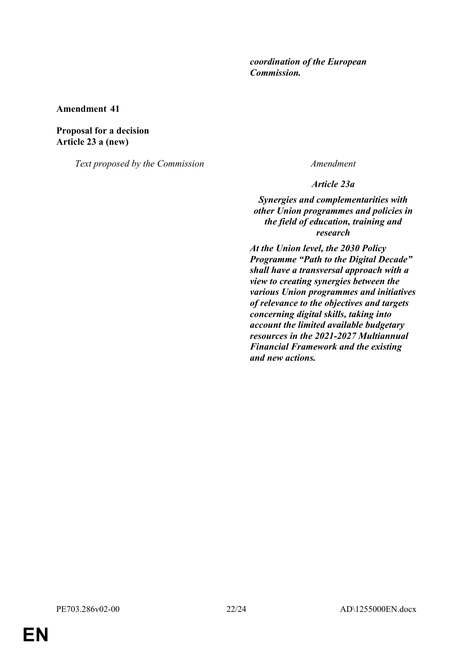# *coordination of the European Commission.*

**Amendment 41**

**Proposal for a decision Article 23 a (new)**

*Text proposed by the Commission Amendment*

*Article 23a*

*Synergies and complementarities with other Union programmes and policies in the field of education, training and research*

*At the Union level, the 2030 Policy Programme "Path to the Digital Decade" shall have a transversal approach with a view to creating synergies between the various Union programmes and initiatives of relevance to the objectives and targets concerning digital skills, taking into account the limited available budgetary resources in the 2021-2027 Multiannual Financial Framework and the existing and new actions.*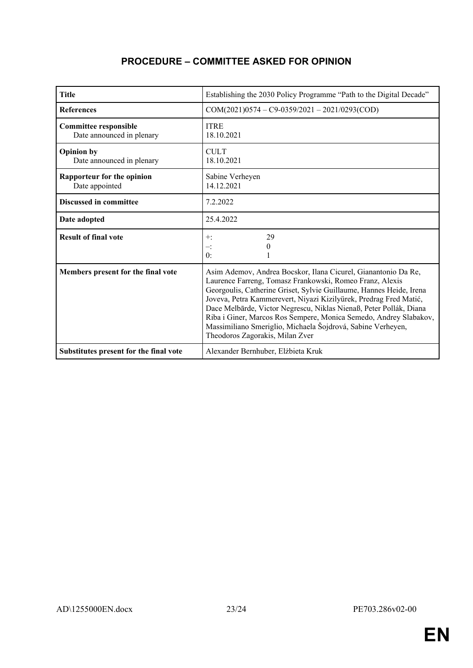# **PROCEDURE – COMMITTEE ASKED FOR OPINION**

| <b>Title</b>                                              | Establishing the 2030 Policy Programme "Path to the Digital Decade"                                                                                                                                                                                                                                                                                                                                                                                                                                                 |
|-----------------------------------------------------------|---------------------------------------------------------------------------------------------------------------------------------------------------------------------------------------------------------------------------------------------------------------------------------------------------------------------------------------------------------------------------------------------------------------------------------------------------------------------------------------------------------------------|
| <b>References</b>                                         | $COM(2021)0574 - C9-0359/2021 - 2021/0293(COD)$                                                                                                                                                                                                                                                                                                                                                                                                                                                                     |
| <b>Committee responsible</b><br>Date announced in plenary | <b>ITRE</b><br>18.10.2021                                                                                                                                                                                                                                                                                                                                                                                                                                                                                           |
| <b>Opinion by</b><br>Date announced in plenary            | <b>CULT</b><br>18.10.2021                                                                                                                                                                                                                                                                                                                                                                                                                                                                                           |
| Rapporteur for the opinion<br>Date appointed              | Sabine Verheyen<br>14.12.2021                                                                                                                                                                                                                                                                                                                                                                                                                                                                                       |
| <b>Discussed in committee</b>                             | 7.2.2022                                                                                                                                                                                                                                                                                                                                                                                                                                                                                                            |
| Date adopted                                              | 25.4.2022                                                                                                                                                                                                                                                                                                                                                                                                                                                                                                           |
| <b>Result of final vote</b>                               | 29<br>$+$ :<br>0<br>$-$ :<br>0:                                                                                                                                                                                                                                                                                                                                                                                                                                                                                     |
| Members present for the final vote                        | Asim Ademov, Andrea Bocskor, Ilana Cicurel, Gianantonio Da Re,<br>Laurence Farreng, Tomasz Frankowski, Romeo Franz, Alexis<br>Georgoulis, Catherine Griset, Sylvie Guillaume, Hannes Heide, Irena<br>Joveva, Petra Kammerevert, Niyazi Kizilyürek, Predrag Fred Matić,<br>Dace Melbārde, Victor Negrescu, Niklas Nienaß, Peter Pollák, Diana<br>Riba i Giner, Marcos Ros Sempere, Monica Semedo, Andrey Slabakov,<br>Massimiliano Smeriglio, Michaela Šojdrová, Sabine Verheyen,<br>Theodoros Zagorakis, Milan Zver |
| Substitutes present for the final vote                    | Alexander Bernhuber, Elżbieta Kruk                                                                                                                                                                                                                                                                                                                                                                                                                                                                                  |